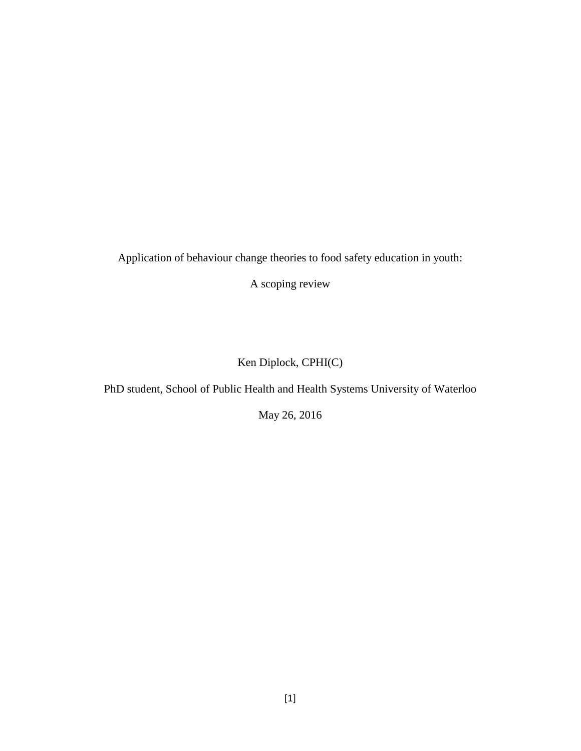Application of behaviour change theories to food safety education in youth:

A scoping review

Ken Diplock, CPHI(C)

PhD student, School of Public Health and Health Systems University of Waterloo

May 26, 2016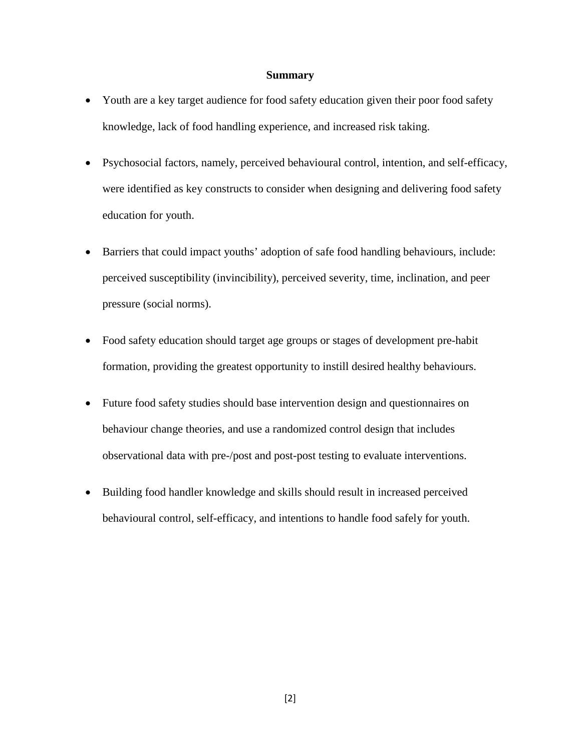#### **Summary**

- Youth are a key target audience for food safety education given their poor food safety knowledge, lack of food handling experience, and increased risk taking.
- Psychosocial factors, namely, perceived behavioural control, intention, and self-efficacy, were identified as key constructs to consider when designing and delivering food safety education for youth.
- Barriers that could impact youths' adoption of safe food handling behaviours, include: perceived susceptibility (invincibility), perceived severity, time, inclination, and peer pressure (social norms).
- Food safety education should target age groups or stages of development pre-habit formation, providing the greatest opportunity to instill desired healthy behaviours.
- Future food safety studies should base intervention design and questionnaires on behaviour change theories, and use a randomized control design that includes observational data with pre-/post and post-post testing to evaluate interventions.
- Building food handler knowledge and skills should result in increased perceived behavioural control, self-efficacy, and intentions to handle food safely for youth.

[2]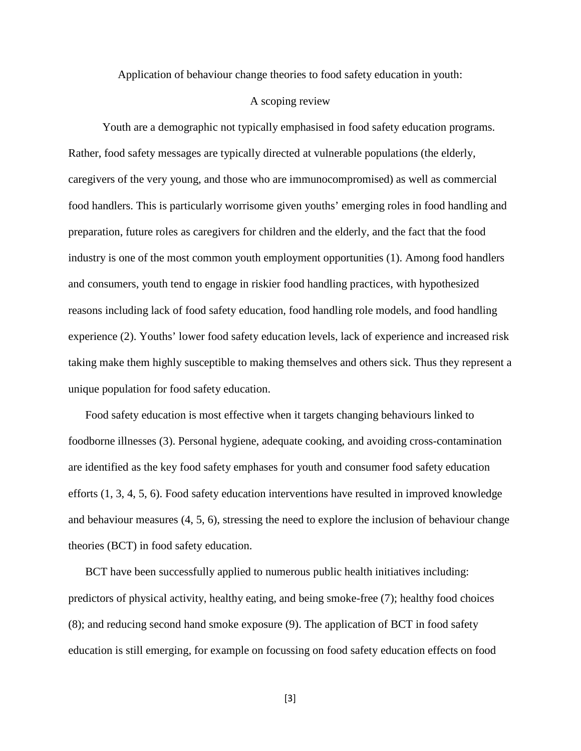Application of behaviour change theories to food safety education in youth:

## A scoping review

Youth are a demographic not typically emphasised in food safety education programs. Rather, food safety messages are typically directed at vulnerable populations (the elderly, caregivers of the very young, and those who are immunocompromised) as well as commercial food handlers. This is particularly worrisome given youths' emerging roles in food handling and preparation, future roles as caregivers for children and the elderly, and the fact that the food industry is one of the most common youth employment opportunities (1). Among food handlers and consumers, youth tend to engage in riskier food handling practices, with hypothesized reasons including lack of food safety education, food handling role models, and food handling experience (2). Youths' lower food safety education levels, lack of experience and increased risk taking make them highly susceptible to making themselves and others sick. Thus they represent a unique population for food safety education.

Food safety education is most effective when it targets changing behaviours linked to foodborne illnesses (3). Personal hygiene, adequate cooking, and avoiding cross-contamination are identified as the key food safety emphases for youth and consumer food safety education efforts (1, 3, 4, 5, 6). Food safety education interventions have resulted in improved knowledge and behaviour measures (4, 5, 6), stressing the need to explore the inclusion of behaviour change theories (BCT) in food safety education.

BCT have been successfully applied to numerous public health initiatives including: predictors of physical activity, healthy eating, and being smoke-free (7); healthy food choices (8); and reducing second hand smoke exposure (9). The application of BCT in food safety education is still emerging, for example on focussing on food safety education effects on food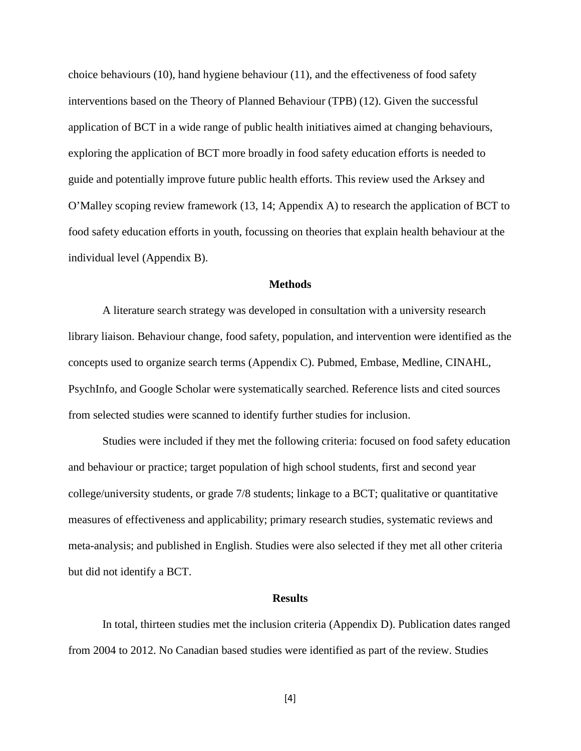choice behaviours (10), hand hygiene behaviour (11), and the effectiveness of food safety interventions based on the Theory of Planned Behaviour (TPB) (12). Given the successful application of BCT in a wide range of public health initiatives aimed at changing behaviours, exploring the application of BCT more broadly in food safety education efforts is needed to guide and potentially improve future public health efforts. This review used the Arksey and O'Malley scoping review framework (13, 14; Appendix A) to research the application of BCT to food safety education efforts in youth, focussing on theories that explain health behaviour at the individual level (Appendix B).

#### **Methods**

A literature search strategy was developed in consultation with a university research library liaison. Behaviour change, food safety, population, and intervention were identified as the concepts used to organize search terms (Appendix C). Pubmed, Embase, Medline, CINAHL, PsychInfo, and Google Scholar were systematically searched. Reference lists and cited sources from selected studies were scanned to identify further studies for inclusion.

Studies were included if they met the following criteria: focused on food safety education and behaviour or practice; target population of high school students, first and second year college/university students, or grade 7/8 students; linkage to a BCT; qualitative or quantitative measures of effectiveness and applicability; primary research studies, systematic reviews and meta-analysis; and published in English. Studies were also selected if they met all other criteria but did not identify a BCT.

#### **Results**

In total, thirteen studies met the inclusion criteria (Appendix D). Publication dates ranged from 2004 to 2012. No Canadian based studies were identified as part of the review. Studies

[4]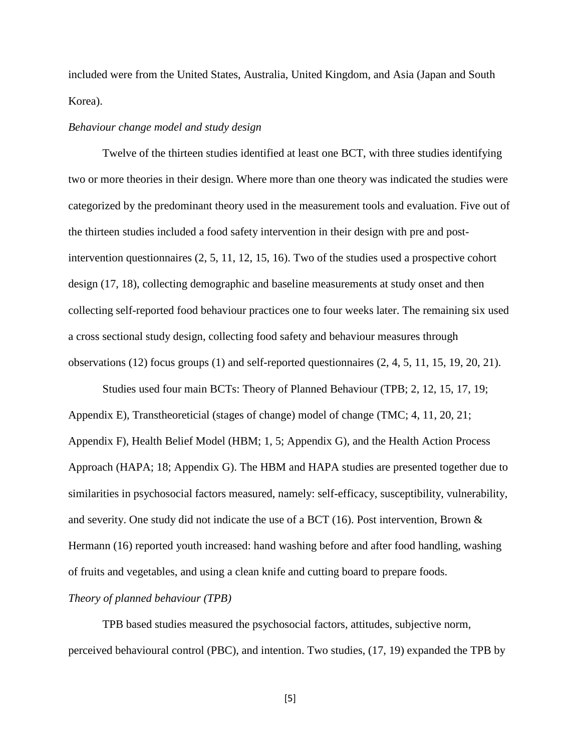included were from the United States, Australia, United Kingdom, and Asia (Japan and South Korea).

## *Behaviour change model and study design*

Twelve of the thirteen studies identified at least one BCT, with three studies identifying two or more theories in their design. Where more than one theory was indicated the studies were categorized by the predominant theory used in the measurement tools and evaluation. Five out of the thirteen studies included a food safety intervention in their design with pre and postintervention questionnaires (2, 5, 11, 12, 15, 16). Two of the studies used a prospective cohort design (17, 18), collecting demographic and baseline measurements at study onset and then collecting self-reported food behaviour practices one to four weeks later. The remaining six used a cross sectional study design, collecting food safety and behaviour measures through observations (12) focus groups (1) and self-reported questionnaires (2, 4, 5, 11, 15, 19, 20, 21).

Studies used four main BCTs: Theory of Planned Behaviour (TPB; 2, 12, 15, 17, 19; Appendix E), Transtheoreticial (stages of change) model of change (TMC; 4, 11, 20, 21; Appendix F), Health Belief Model (HBM; 1, 5; Appendix G), and the Health Action Process Approach (HAPA; 18; Appendix G). The HBM and HAPA studies are presented together due to similarities in psychosocial factors measured, namely: self-efficacy, susceptibility, vulnerability, and severity. One study did not indicate the use of a BCT (16). Post intervention, Brown  $\&$ Hermann (16) reported youth increased: hand washing before and after food handling, washing of fruits and vegetables, and using a clean knife and cutting board to prepare foods.

## *Theory of planned behaviour (TPB)*

TPB based studies measured the psychosocial factors, attitudes, subjective norm, perceived behavioural control (PBC), and intention. Two studies, (17, 19) expanded the TPB by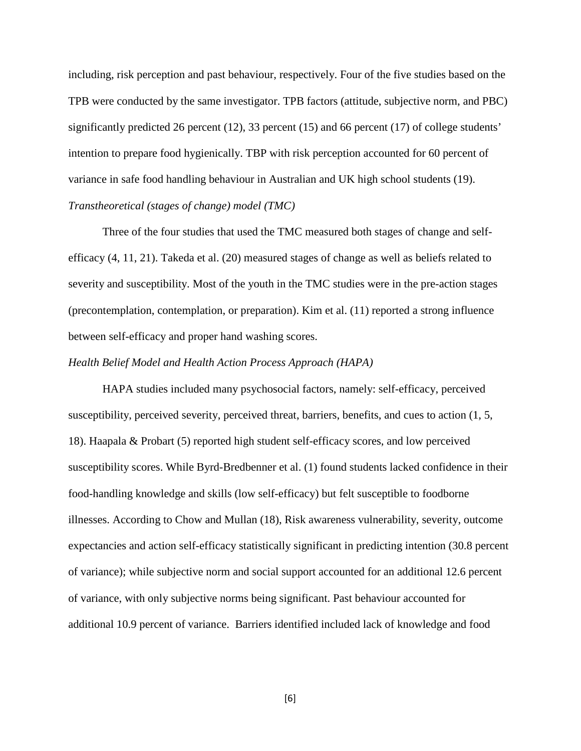including, risk perception and past behaviour, respectively. Four of the five studies based on the TPB were conducted by the same investigator. TPB factors (attitude, subjective norm, and PBC) significantly predicted 26 percent (12), 33 percent (15) and 66 percent (17) of college students' intention to prepare food hygienically. TBP with risk perception accounted for 60 percent of variance in safe food handling behaviour in Australian and UK high school students (19). *Transtheoretical (stages of change) model (TMC)*

Three of the four studies that used the TMC measured both stages of change and selfefficacy (4, 11, 21). Takeda et al. (20) measured stages of change as well as beliefs related to severity and susceptibility. Most of the youth in the TMC studies were in the pre-action stages (precontemplation, contemplation, or preparation). Kim et al. (11) reported a strong influence between self-efficacy and proper hand washing scores.

#### *Health Belief Model and Health Action Process Approach (HAPA)*

HAPA studies included many psychosocial factors, namely: self-efficacy, perceived susceptibility, perceived severity, perceived threat, barriers, benefits, and cues to action (1, 5, 18). Haapala & Probart (5) reported high student self-efficacy scores, and low perceived susceptibility scores. While Byrd-Bredbenner et al. (1) found students lacked confidence in their food-handling knowledge and skills (low self-efficacy) but felt susceptible to foodborne illnesses. According to Chow and Mullan (18), Risk awareness vulnerability, severity, outcome expectancies and action self-efficacy statistically significant in predicting intention (30.8 percent of variance); while subjective norm and social support accounted for an additional 12.6 percent of variance, with only subjective norms being significant. Past behaviour accounted for additional 10.9 percent of variance. Barriers identified included lack of knowledge and food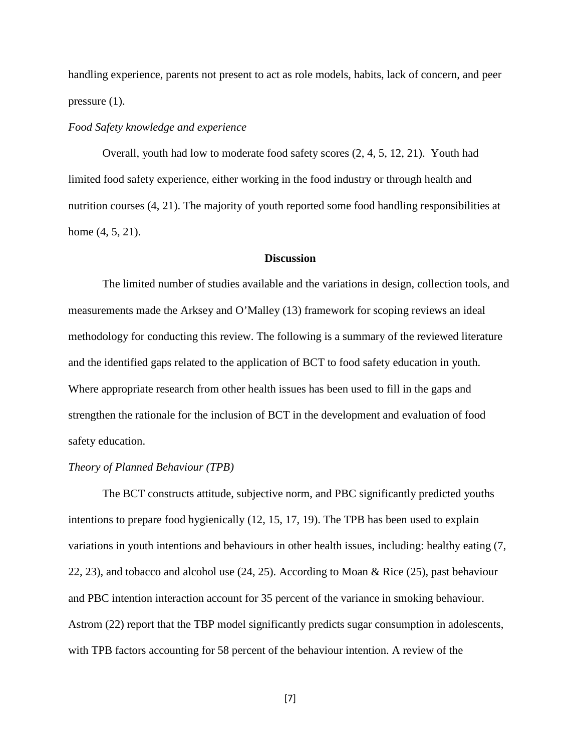handling experience, parents not present to act as role models, habits, lack of concern, and peer pressure (1).

## *Food Safety knowledge and experience*

Overall, youth had low to moderate food safety scores (2, 4, 5, 12, 21). Youth had limited food safety experience, either working in the food industry or through health and nutrition courses (4, 21). The majority of youth reported some food handling responsibilities at home (4, 5, 21).

### **Discussion**

The limited number of studies available and the variations in design, collection tools, and measurements made the Arksey and O'Malley (13) framework for scoping reviews an ideal methodology for conducting this review. The following is a summary of the reviewed literature and the identified gaps related to the application of BCT to food safety education in youth. Where appropriate research from other health issues has been used to fill in the gaps and strengthen the rationale for the inclusion of BCT in the development and evaluation of food safety education.

### *Theory of Planned Behaviour (TPB)*

The BCT constructs attitude, subjective norm, and PBC significantly predicted youths intentions to prepare food hygienically (12, 15, 17, 19). The TPB has been used to explain variations in youth intentions and behaviours in other health issues, including: healthy eating (7, 22, 23), and tobacco and alcohol use (24, 25). According to Moan & Rice (25), past behaviour and PBC intention interaction account for 35 percent of the variance in smoking behaviour. Astrom (22) report that the TBP model significantly predicts sugar consumption in adolescents, with TPB factors accounting for 58 percent of the behaviour intention. A review of the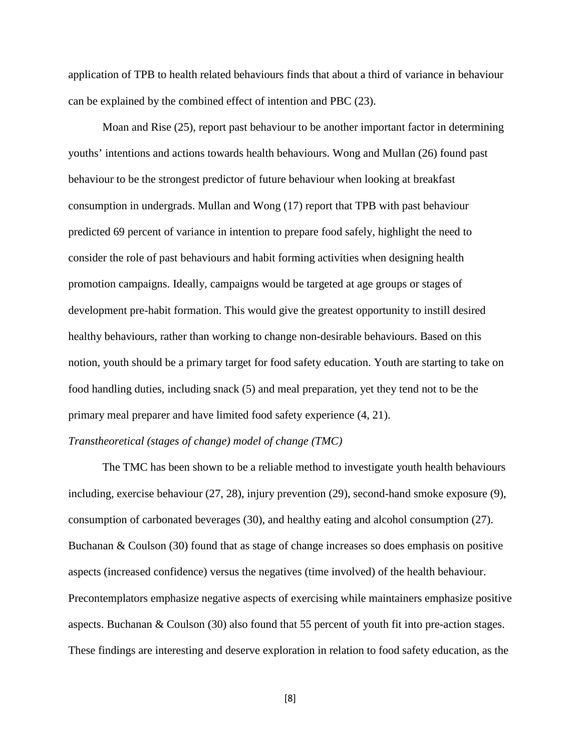application of TPB to health related behaviours finds that about a third of variance in behaviour can be explained by the combined effect of intention and PBC (23).

Moan and Rise (25), report past behaviour to be another important factor in determining youths' intentions and actions towards health behaviours. Wong and Mullan (26) found past behaviour to be the strongest predictor of future behaviour when looking at breakfast consumption in undergrads. Mullan and Wong (17) report that TPB with past behaviour predicted 69 percent of variance in intention to prepare food safely, highlight the need to consider the role of past behaviours and habit forming activities when designing health promotion campaigns. Ideally, campaigns would be targeted at age groups or stages of development pre-habit formation. This would give the greatest opportunity to instill desired healthy behaviours, rather than working to change non-desirable behaviours. Based on this notion, youth should be a primary target for food safety education. Youth are starting to take on food handling duties, including snack (5) and meal preparation, yet they tend not to be the primary meal preparer and have limited food safety experience (4, 21).

## *Transtheoretical (stages of change) model of change (TMC)*

The TMC has been shown to be a reliable method to investigate youth health behaviours including, exercise behaviour (27, 28), injury prevention (29), second-hand smoke exposure (9), consumption of carbonated beverages (30), and healthy eating and alcohol consumption (27). Buchanan & Coulson (30) found that as stage of change increases so does emphasis on positive aspects (increased confidence) versus the negatives (time involved) of the health behaviour. Precontemplators emphasize negative aspects of exercising while maintainers emphasize positive aspects. Buchanan & Coulson (30) also found that 55 percent of youth fit into pre-action stages. These findings are interesting and deserve exploration in relation to food safety education, as the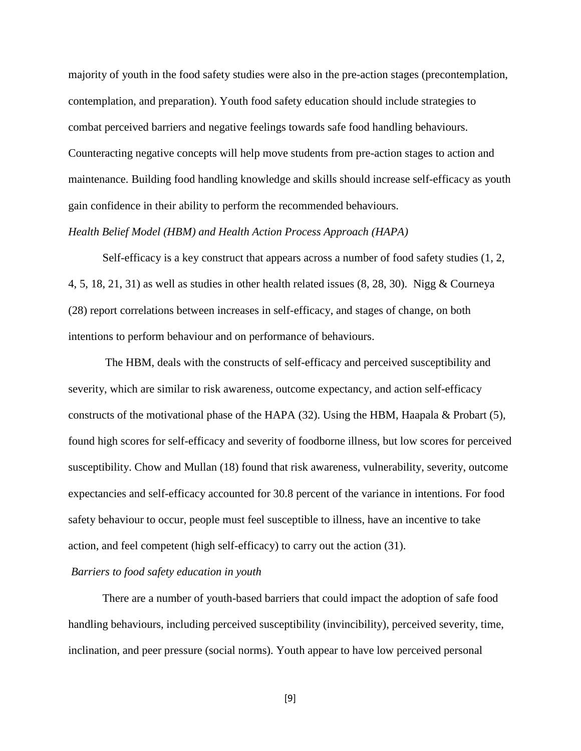majority of youth in the food safety studies were also in the pre-action stages (precontemplation, contemplation, and preparation). Youth food safety education should include strategies to combat perceived barriers and negative feelings towards safe food handling behaviours. Counteracting negative concepts will help move students from pre-action stages to action and maintenance. Building food handling knowledge and skills should increase self-efficacy as youth gain confidence in their ability to perform the recommended behaviours.

### *Health Belief Model (HBM) and Health Action Process Approach (HAPA)*

Self-efficacy is a key construct that appears across a number of food safety studies (1, 2, 4, 5, 18, 21, 31) as well as studies in other health related issues (8, 28, 30). Nigg & Courneya (28) report correlations between increases in self-efficacy, and stages of change, on both intentions to perform behaviour and on performance of behaviours.

The HBM, deals with the constructs of self-efficacy and perceived susceptibility and severity, which are similar to risk awareness, outcome expectancy, and action self-efficacy constructs of the motivational phase of the HAPA  $(32)$ . Using the HBM, Haapala & Probart  $(5)$ , found high scores for self-efficacy and severity of foodborne illness, but low scores for perceived susceptibility. Chow and Mullan (18) found that risk awareness, vulnerability, severity, outcome expectancies and self-efficacy accounted for 30.8 percent of the variance in intentions. For food safety behaviour to occur, people must feel susceptible to illness, have an incentive to take action, and feel competent (high self-efficacy) to carry out the action (31).

## *Barriers to food safety education in youth*

There are a number of youth-based barriers that could impact the adoption of safe food handling behaviours, including perceived susceptibility (invincibility), perceived severity, time, inclination, and peer pressure (social norms). Youth appear to have low perceived personal

[9]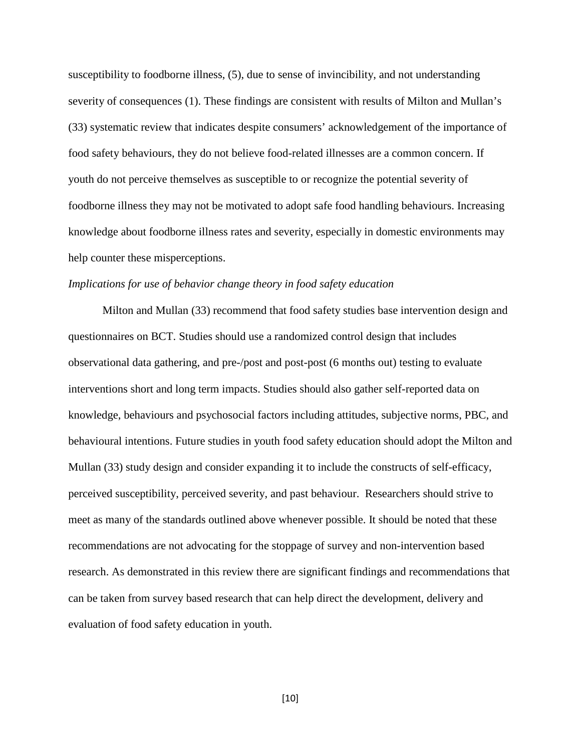susceptibility to foodborne illness, (5), due to sense of invincibility, and not understanding severity of consequences (1). These findings are consistent with results of Milton and Mullan's (33) systematic review that indicates despite consumers' acknowledgement of the importance of food safety behaviours, they do not believe food-related illnesses are a common concern. If youth do not perceive themselves as susceptible to or recognize the potential severity of foodborne illness they may not be motivated to adopt safe food handling behaviours. Increasing knowledge about foodborne illness rates and severity, especially in domestic environments may help counter these misperceptions.

## *Implications for use of behavior change theory in food safety education*

Milton and Mullan (33) recommend that food safety studies base intervention design and questionnaires on BCT. Studies should use a randomized control design that includes observational data gathering, and pre-/post and post-post (6 months out) testing to evaluate interventions short and long term impacts. Studies should also gather self-reported data on knowledge, behaviours and psychosocial factors including attitudes, subjective norms, PBC, and behavioural intentions. Future studies in youth food safety education should adopt the Milton and Mullan (33) study design and consider expanding it to include the constructs of self-efficacy, perceived susceptibility, perceived severity, and past behaviour. Researchers should strive to meet as many of the standards outlined above whenever possible. It should be noted that these recommendations are not advocating for the stoppage of survey and non-intervention based research. As demonstrated in this review there are significant findings and recommendations that can be taken from survey based research that can help direct the development, delivery and evaluation of food safety education in youth.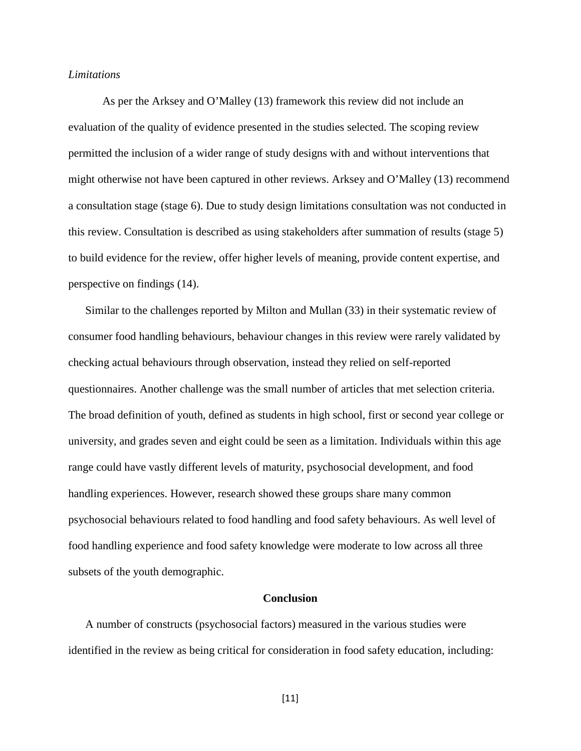#### *Limitations*

As per the Arksey and O'Malley (13) framework this review did not include an evaluation of the quality of evidence presented in the studies selected. The scoping review permitted the inclusion of a wider range of study designs with and without interventions that might otherwise not have been captured in other reviews. Arksey and O'Malley (13) recommend a consultation stage (stage 6). Due to study design limitations consultation was not conducted in this review. Consultation is described as using stakeholders after summation of results (stage 5) to build evidence for the review, offer higher levels of meaning, provide content expertise, and perspective on findings (14).

Similar to the challenges reported by Milton and Mullan (33) in their systematic review of consumer food handling behaviours, behaviour changes in this review were rarely validated by checking actual behaviours through observation, instead they relied on self-reported questionnaires. Another challenge was the small number of articles that met selection criteria. The broad definition of youth, defined as students in high school, first or second year college or university, and grades seven and eight could be seen as a limitation. Individuals within this age range could have vastly different levels of maturity, psychosocial development, and food handling experiences. However, research showed these groups share many common psychosocial behaviours related to food handling and food safety behaviours. As well level of food handling experience and food safety knowledge were moderate to low across all three subsets of the youth demographic.

#### **Conclusion**

A number of constructs (psychosocial factors) measured in the various studies were identified in the review as being critical for consideration in food safety education, including:

[11]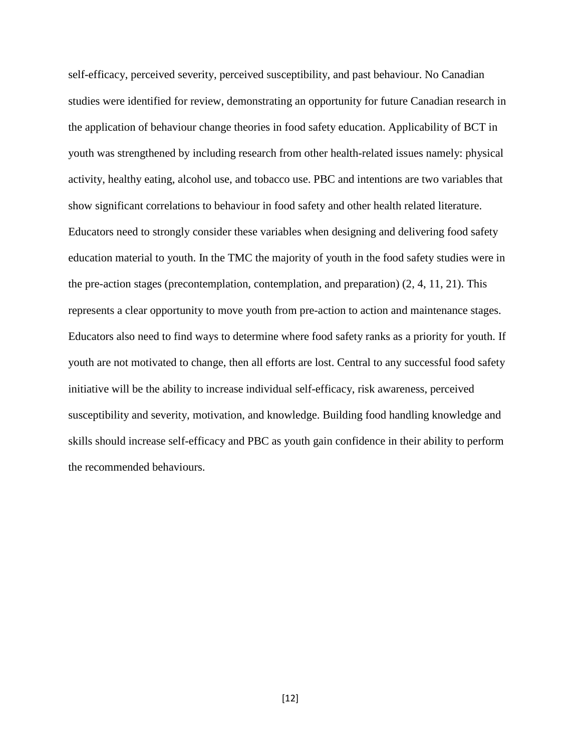self-efficacy, perceived severity, perceived susceptibility, and past behaviour. No Canadian studies were identified for review, demonstrating an opportunity for future Canadian research in the application of behaviour change theories in food safety education. Applicability of BCT in youth was strengthened by including research from other health-related issues namely: physical activity, healthy eating, alcohol use, and tobacco use. PBC and intentions are two variables that show significant correlations to behaviour in food safety and other health related literature. Educators need to strongly consider these variables when designing and delivering food safety education material to youth. In the TMC the majority of youth in the food safety studies were in the pre-action stages (precontemplation, contemplation, and preparation) (2, 4, 11, 21). This represents a clear opportunity to move youth from pre-action to action and maintenance stages. Educators also need to find ways to determine where food safety ranks as a priority for youth. If youth are not motivated to change, then all efforts are lost. Central to any successful food safety initiative will be the ability to increase individual self-efficacy, risk awareness, perceived susceptibility and severity, motivation, and knowledge. Building food handling knowledge and skills should increase self-efficacy and PBC as youth gain confidence in their ability to perform the recommended behaviours.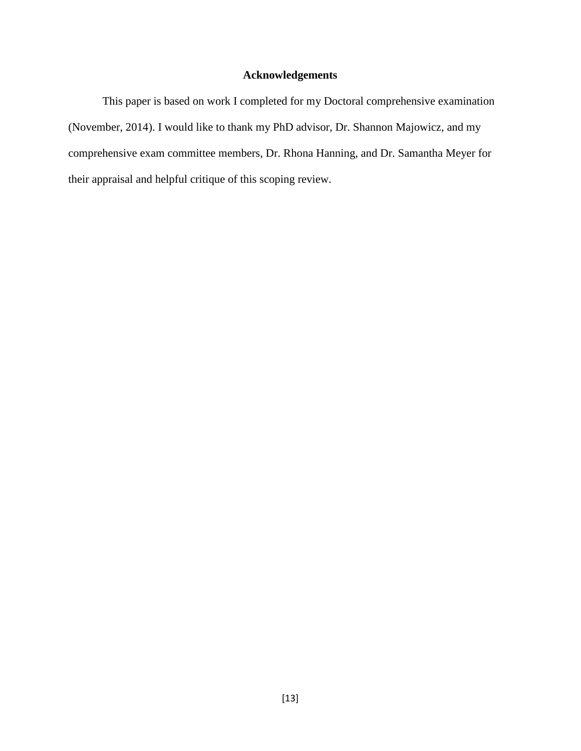# **Acknowledgements**

This paper is based on work I completed for my Doctoral comprehensive examination (November, 2014). I would like to thank my PhD advisor, Dr. Shannon Majowicz, and my comprehensive exam committee members, Dr. Rhona Hanning, and Dr. Samantha Meyer for their appraisal and helpful critique of this scoping review.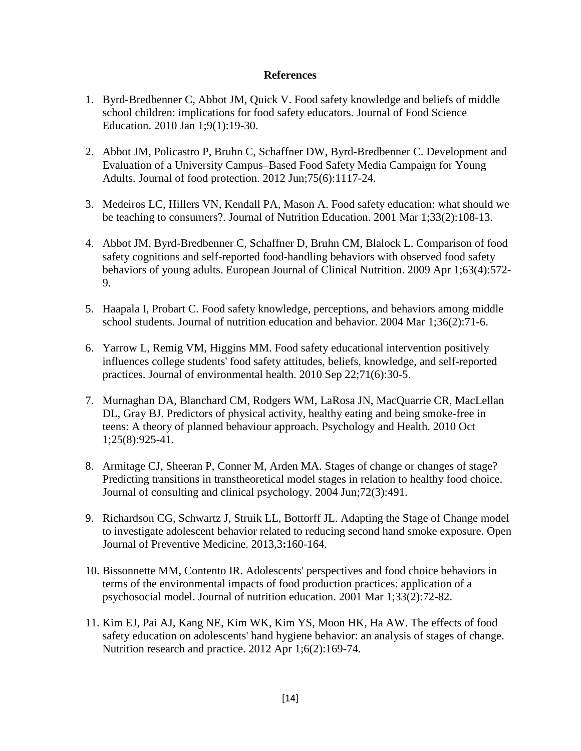## **References**

- 1. Byrd‐Bredbenner C, Abbot JM, Quick V. Food safety knowledge and beliefs of middle school children: implications for food safety educators. Journal of Food Science Education. 2010 Jan 1;9(1):19-30.
- 2. Abbot JM, Policastro P, Bruhn C, Schaffner DW, Byrd-Bredbenner C. Development and Evaluation of a University Campus–Based Food Safety Media Campaign for Young Adults. Journal of food protection. 2012 Jun;75(6):1117-24.
- 3. Medeiros LC, Hillers VN, Kendall PA, Mason A. Food safety education: what should we be teaching to consumers?. Journal of Nutrition Education. 2001 Mar 1;33(2):108-13.
- 4. Abbot JM, Byrd-Bredbenner C, Schaffner D, Bruhn CM, Blalock L. Comparison of food safety cognitions and self-reported food-handling behaviors with observed food safety behaviors of young adults. European Journal of Clinical Nutrition. 2009 Apr 1;63(4):572- 9.
- 5. Haapala I, Probart C. Food safety knowledge, perceptions, and behaviors among middle school students. Journal of nutrition education and behavior. 2004 Mar 1;36(2):71-6.
- 6. Yarrow L, Remig VM, Higgins MM. Food safety educational intervention positively influences college students' food safety attitudes, beliefs, knowledge, and self-reported practices. Journal of environmental health. 2010 Sep 22;71(6):30-5.
- 7. Murnaghan DA, Blanchard CM, Rodgers WM, LaRosa JN, MacQuarrie CR, MacLellan DL, Gray BJ. Predictors of physical activity, healthy eating and being smoke-free in teens: A theory of planned behaviour approach. Psychology and Health. 2010 Oct 1;25(8):925-41.
- 8. Armitage CJ, Sheeran P, Conner M, Arden MA. Stages of change or changes of stage? Predicting transitions in transtheoretical model stages in relation to healthy food choice. Journal of consulting and clinical psychology. 2004 Jun;72(3):491.
- 9. Richardson CG, Schwartz J, Struik LL, Bottorff JL. Adapting the Stage of Change model to investigate adolescent behavior related to reducing second hand smoke exposure. Open Journal of Preventive Medicine. 2013,3**:**160-164.
- 10. Bissonnette MM, Contento IR. Adolescents' perspectives and food choice behaviors in terms of the environmental impacts of food production practices: application of a psychosocial model. Journal of nutrition education. 2001 Mar 1;33(2):72-82.
- 11. Kim EJ, Pai AJ, Kang NE, Kim WK, Kim YS, Moon HK, Ha AW. The effects of food safety education on adolescents' hand hygiene behavior: an analysis of stages of change. Nutrition research and practice. 2012 Apr 1;6(2):169-74.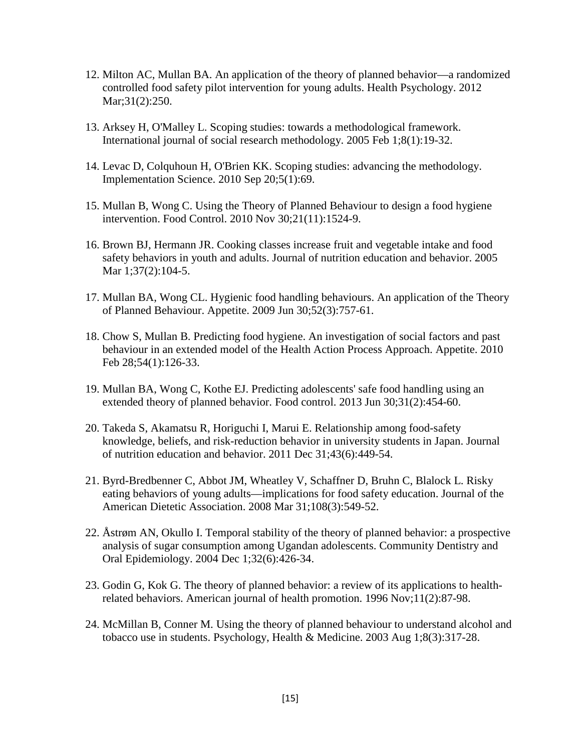- 12. Milton AC, Mullan BA. An application of the theory of planned behavior—a randomized controlled food safety pilot intervention for young adults. Health Psychology. 2012 Mar;31(2):250.
- 13. Arksey H, O'Malley L. Scoping studies: towards a methodological framework. International journal of social research methodology. 2005 Feb 1;8(1):19-32.
- 14. Levac D, Colquhoun H, O'Brien KK. Scoping studies: advancing the methodology. Implementation Science. 2010 Sep 20;5(1):69.
- 15. Mullan B, Wong C. Using the Theory of Planned Behaviour to design a food hygiene intervention. Food Control. 2010 Nov 30;21(11):1524-9.
- 16. Brown BJ, Hermann JR. Cooking classes increase fruit and vegetable intake and food safety behaviors in youth and adults. Journal of nutrition education and behavior. 2005 Mar 1;37(2):104-5.
- 17. Mullan BA, Wong CL. Hygienic food handling behaviours. An application of the Theory of Planned Behaviour. Appetite. 2009 Jun 30;52(3):757-61.
- 18. Chow S, Mullan B. Predicting food hygiene. An investigation of social factors and past behaviour in an extended model of the Health Action Process Approach. Appetite. 2010 Feb 28;54(1):126-33.
- 19. Mullan BA, Wong C, Kothe EJ. Predicting adolescents' safe food handling using an extended theory of planned behavior. Food control. 2013 Jun 30;31(2):454-60.
- 20. Takeda S, Akamatsu R, Horiguchi I, Marui E. Relationship among food-safety knowledge, beliefs, and risk-reduction behavior in university students in Japan. Journal of nutrition education and behavior. 2011 Dec 31;43(6):449-54.
- 21. Byrd-Bredbenner C, Abbot JM, Wheatley V, Schaffner D, Bruhn C, Blalock L. Risky eating behaviors of young adults—implications for food safety education. Journal of the American Dietetic Association. 2008 Mar 31;108(3):549-52.
- 22. Åstrøm AN, Okullo I. Temporal stability of the theory of planned behavior: a prospective analysis of sugar consumption among Ugandan adolescents. Community Dentistry and Oral Epidemiology. 2004 Dec 1;32(6):426-34.
- 23. Godin G, Kok G. The theory of planned behavior: a review of its applications to healthrelated behaviors. American journal of health promotion. 1996 Nov;11(2):87-98.
- 24. McMillan B, Conner M. Using the theory of planned behaviour to understand alcohol and tobacco use in students. Psychology, Health & Medicine. 2003 Aug 1;8(3):317-28.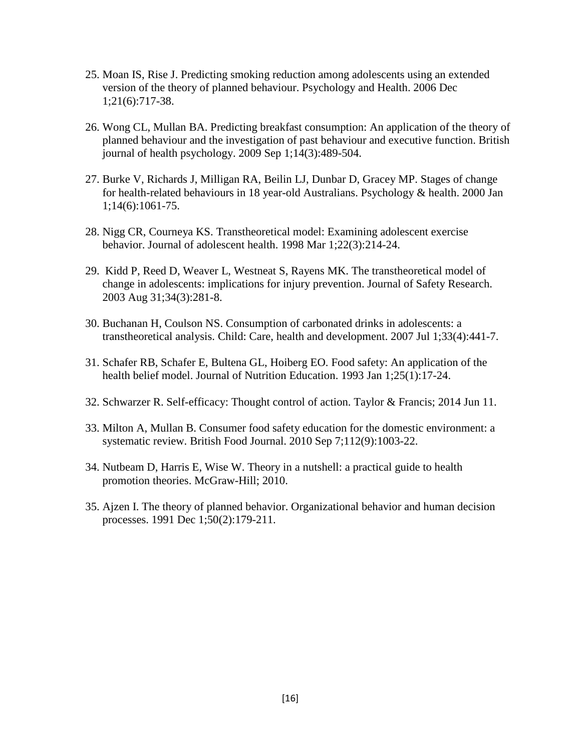- 25. Moan IS, Rise J. Predicting smoking reduction among adolescents using an extended version of the theory of planned behaviour. Psychology and Health. 2006 Dec 1;21(6):717-38.
- 26. Wong CL, Mullan BA. Predicting breakfast consumption: An application of the theory of planned behaviour and the investigation of past behaviour and executive function. British journal of health psychology. 2009 Sep 1;14(3):489-504.
- 27. Burke V, Richards J, Milligan RA, Beilin LJ, Dunbar D, Gracey MP. Stages of change for health-related behaviours in 18 year-old Australians. Psychology & health. 2000 Jan 1;14(6):1061-75.
- 28. Nigg CR, Courneya KS. Transtheoretical model: Examining adolescent exercise behavior. Journal of adolescent health. 1998 Mar 1;22(3):214-24.
- 29. Kidd P, Reed D, Weaver L, Westneat S, Rayens MK. The transtheoretical model of change in adolescents: implications for injury prevention. Journal of Safety Research. 2003 Aug 31;34(3):281-8.
- 30. Buchanan H, Coulson NS. Consumption of carbonated drinks in adolescents: a transtheoretical analysis. Child: Care, health and development. 2007 Jul 1;33(4):441-7.
- 31. Schafer RB, Schafer E, Bultena GL, Hoiberg EO. Food safety: An application of the health belief model. Journal of Nutrition Education. 1993 Jan 1;25(1):17-24.
- 32. Schwarzer R. Self-efficacy: Thought control of action. Taylor & Francis; 2014 Jun 11.
- 33. Milton A, Mullan B. Consumer food safety education for the domestic environment: a systematic review. British Food Journal. 2010 Sep 7;112(9):1003-22.
- 34. Nutbeam D, Harris E, Wise W. Theory in a nutshell: a practical guide to health promotion theories. McGraw-Hill; 2010.
- 35. Ajzen I. The theory of planned behavior. Organizational behavior and human decision processes. 1991 Dec 1;50(2):179-211.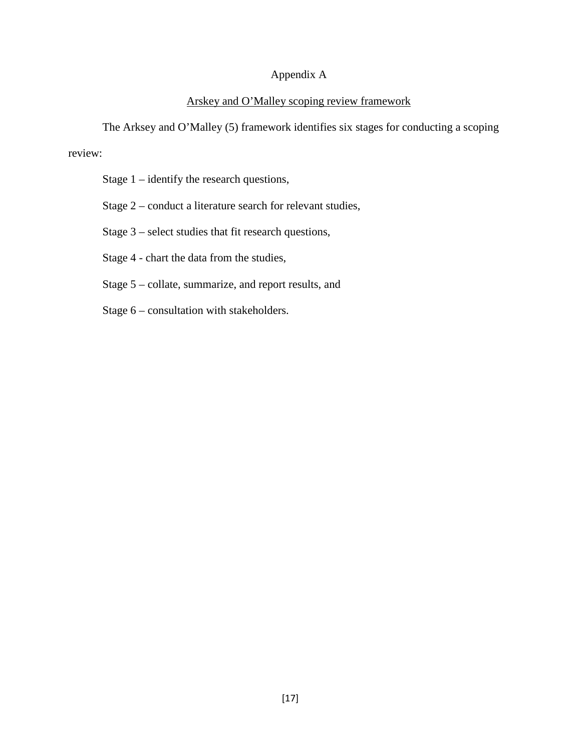# Appendix A

# Arskey and O'Malley scoping review framework

The Arksey and O'Malley (5) framework identifies six stages for conducting a scoping review:

Stage 1 – identify the research questions,

Stage 2 – conduct a literature search for relevant studies,

Stage 3 – select studies that fit research questions,

Stage 4 - chart the data from the studies,

Stage 5 – collate, summarize, and report results, and

Stage 6 – consultation with stakeholders.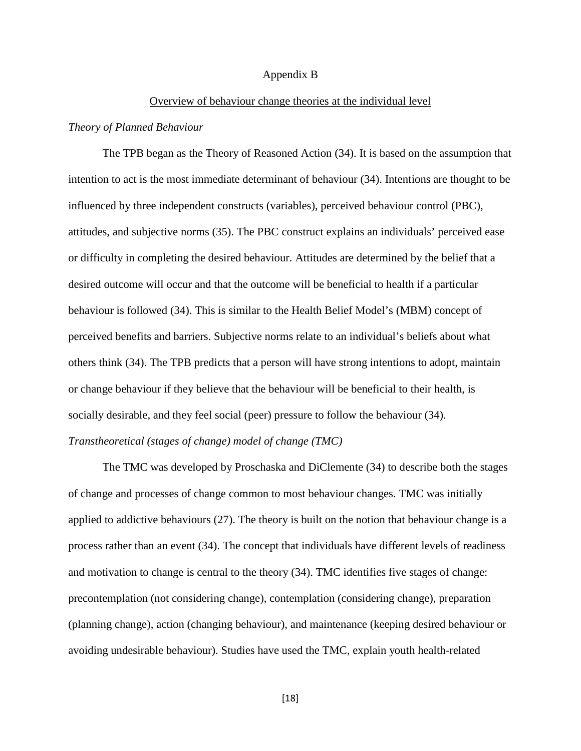#### Appendix B

#### Overview of behaviour change theories at the individual level

## *Theory of Planned Behaviour*

The TPB began as the Theory of Reasoned Action (34). It is based on the assumption that intention to act is the most immediate determinant of behaviour (34). Intentions are thought to be influenced by three independent constructs (variables), perceived behaviour control (PBC), attitudes, and subjective norms (35). The PBC construct explains an individuals' perceived ease or difficulty in completing the desired behaviour. Attitudes are determined by the belief that a desired outcome will occur and that the outcome will be beneficial to health if a particular behaviour is followed (34). This is similar to the Health Belief Model's (MBM) concept of perceived benefits and barriers. Subjective norms relate to an individual's beliefs about what others think (34). The TPB predicts that a person will have strong intentions to adopt, maintain or change behaviour if they believe that the behaviour will be beneficial to their health, is socially desirable, and they feel social (peer) pressure to follow the behaviour (34).

## *Transtheoretical (stages of change) model of change (TMC)*

The TMC was developed by Proschaska and DiClemente (34) to describe both the stages of change and processes of change common to most behaviour changes. TMC was initially applied to addictive behaviours (27). The theory is built on the notion that behaviour change is a process rather than an event (34). The concept that individuals have different levels of readiness and motivation to change is central to the theory (34). TMC identifies five stages of change: precontemplation (not considering change), contemplation (considering change), preparation (planning change), action (changing behaviour), and maintenance (keeping desired behaviour or avoiding undesirable behaviour). Studies have used the TMC, explain youth health-related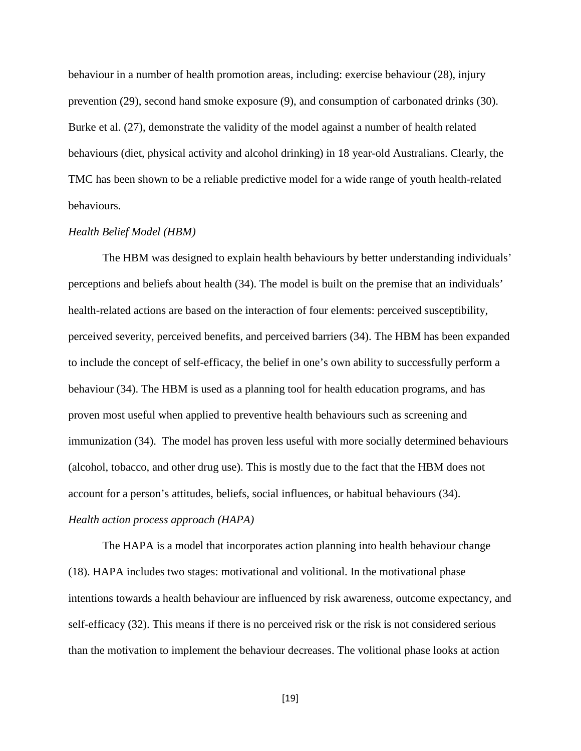behaviour in a number of health promotion areas, including: exercise behaviour (28), injury prevention (29), second hand smoke exposure (9), and consumption of carbonated drinks (30). Burke et al. (27), demonstrate the validity of the model against a number of health related behaviours (diet, physical activity and alcohol drinking) in 18 year-old Australians. Clearly, the TMC has been shown to be a reliable predictive model for a wide range of youth health-related behaviours.

## *Health Belief Model (HBM)*

The HBM was designed to explain health behaviours by better understanding individuals' perceptions and beliefs about health (34). The model is built on the premise that an individuals' health-related actions are based on the interaction of four elements: perceived susceptibility, perceived severity, perceived benefits, and perceived barriers (34). The HBM has been expanded to include the concept of self-efficacy, the belief in one's own ability to successfully perform a behaviour (34). The HBM is used as a planning tool for health education programs, and has proven most useful when applied to preventive health behaviours such as screening and immunization (34). The model has proven less useful with more socially determined behaviours (alcohol, tobacco, and other drug use). This is mostly due to the fact that the HBM does not account for a person's attitudes, beliefs, social influences, or habitual behaviours (34). *Health action process approach (HAPA)*

The HAPA is a model that incorporates action planning into health behaviour change (18). HAPA includes two stages: motivational and volitional. In the motivational phase intentions towards a health behaviour are influenced by risk awareness, outcome expectancy, and self-efficacy (32). This means if there is no perceived risk or the risk is not considered serious than the motivation to implement the behaviour decreases. The volitional phase looks at action

[19]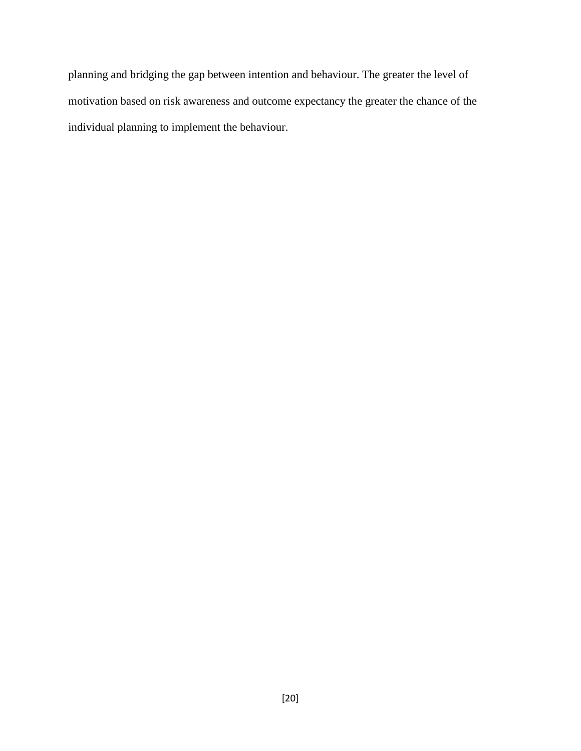planning and bridging the gap between intention and behaviour. The greater the level of motivation based on risk awareness and outcome expectancy the greater the chance of the individual planning to implement the behaviour.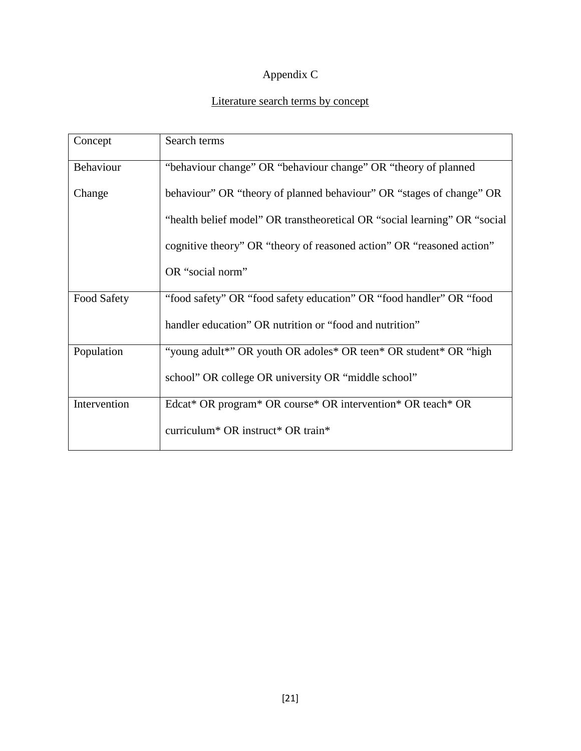# Appendix C

# Literature search terms by concept

| Concept      | Search terms                                                              |
|--------------|---------------------------------------------------------------------------|
| Behaviour    | "behaviour change" OR "behaviour change" OR "theory of planned            |
| Change       | behaviour" OR "theory of planned behaviour" OR "stages of change" OR      |
|              | "health belief model" OR transtheoretical OR "social learning" OR "social |
|              | cognitive theory" OR "theory of reasoned action" OR "reasoned action"     |
|              | OR "social norm"                                                          |
| Food Safety  | "food safety" OR "food safety education" OR "food handler" OR "food       |
|              | handler education" OR nutrition or "food and nutrition"                   |
| Population   | "young adult*" OR youth OR adoles* OR teen* OR student* OR "high"         |
|              | school" OR college OR university OR "middle school"                       |
| Intervention | Edcat* OR program* OR course* OR intervention* OR teach* OR               |
|              | curriculum <sup>*</sup> OR instruct <sup>*</sup> OR train <sup>*</sup>    |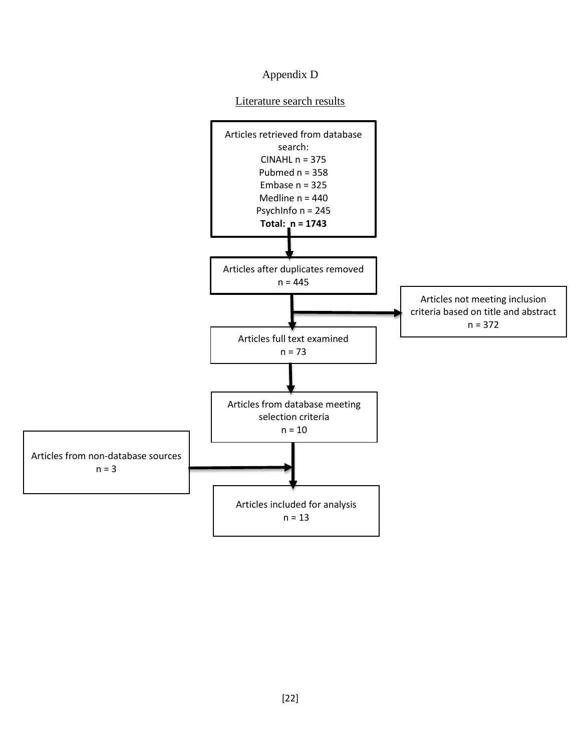# Appendix D

# Literature search results

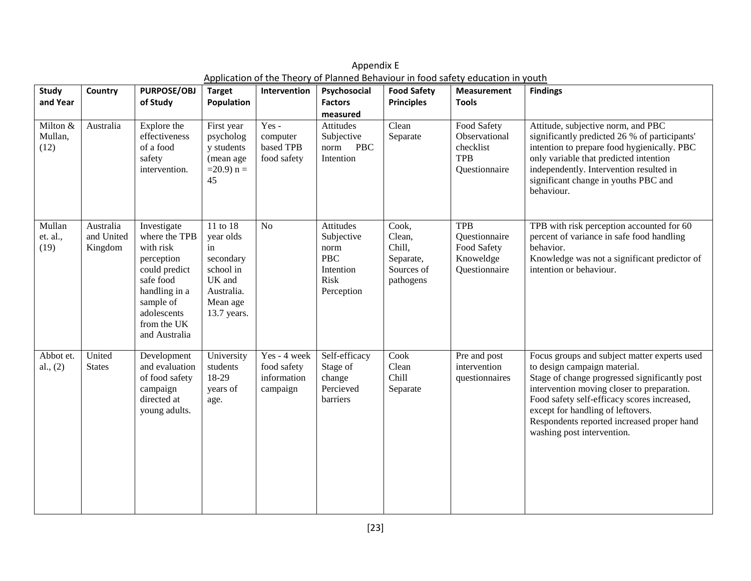| <b>Study</b>                | Country                            | <b>PURPOSE/OBJ</b>                                                                                                                                                 | <b>Target</b>                                                                                            | Intervention                                           | Psychosocial                                                                     | <b>Food Safety</b>                                                | <b>Measurement</b>                                                       | <b>Findings</b>                                                                                                                                                                                                                                                                                                                             |
|-----------------------------|------------------------------------|--------------------------------------------------------------------------------------------------------------------------------------------------------------------|----------------------------------------------------------------------------------------------------------|--------------------------------------------------------|----------------------------------------------------------------------------------|-------------------------------------------------------------------|--------------------------------------------------------------------------|---------------------------------------------------------------------------------------------------------------------------------------------------------------------------------------------------------------------------------------------------------------------------------------------------------------------------------------------|
| and Year                    |                                    | of Study                                                                                                                                                           | Population                                                                                               |                                                        | <b>Factors</b><br>measured                                                       | <b>Principles</b>                                                 | <b>Tools</b>                                                             |                                                                                                                                                                                                                                                                                                                                             |
| Milton &<br>Mullan,<br>(12) | Australia                          | Explore the<br>effectiveness<br>of a food<br>safety<br>intervention.                                                                                               | First year<br>psycholog<br>y students<br>(mean age<br>$=20.9$ n =<br>45                                  | $Yes -$<br>computer<br>based TPB<br>food safety        | Attitudes<br>Subjective<br><b>PBC</b><br>norm<br>Intention                       | Clean<br>Separate                                                 | Food Safety<br>Observational<br>checklist<br><b>TPB</b><br>Questionnaire | Attitude, subjective norm, and PBC<br>significantly predicted 26 % of participants'<br>intention to prepare food hygienically. PBC<br>only variable that predicted intention<br>independently. Intervention resulted in<br>significant change in youths PBC and<br>behaviour.                                                               |
| Mullan<br>et. al.,<br>(19)  | Australia<br>and United<br>Kingdom | Investigate<br>where the TPB<br>with risk<br>perception<br>could predict<br>safe food<br>handling in a<br>sample of<br>adolescents<br>from the UK<br>and Australia | 11 to 18<br>year olds<br>in<br>secondary<br>school in<br>UK and<br>Australia.<br>Mean age<br>13.7 years. | N <sub>o</sub>                                         | Attitudes<br>Subjective<br>norm<br><b>PBC</b><br>Intention<br>Risk<br>Perception | Cook,<br>Clean,<br>Chill,<br>Separate,<br>Sources of<br>pathogens | <b>TPB</b><br>Questionnaire<br>Food Safety<br>Knoweldge<br>Questionnaire | TPB with risk perception accounted for 60<br>percent of variance in safe food handling<br>behavior.<br>Knowledge was not a significant predictor of<br>intention or behaviour.                                                                                                                                                              |
| Abbot et.<br>al., (2)       | United<br><b>States</b>            | Development<br>and evaluation<br>of food safety<br>campaign<br>directed at<br>young adults.                                                                        | University<br>students<br>18-29<br>years of<br>age.                                                      | Yes - 4 week<br>food safety<br>information<br>campaign | Self-efficacy<br>Stage of<br>change<br>Percieved<br>barriers                     | Cook<br>Clean<br>Chill<br>Separate                                | Pre and post<br>intervention<br>questionnaires                           | Focus groups and subject matter experts used<br>to design campaign material.<br>Stage of change progressed significantly post<br>intervention moving closer to preparation.<br>Food safety self-efficacy scores increased,<br>except for handling of leftovers.<br>Respondents reported increased proper hand<br>washing post intervention. |

Appendix E Application of the Theory of Planned Behaviour in food safety education in youth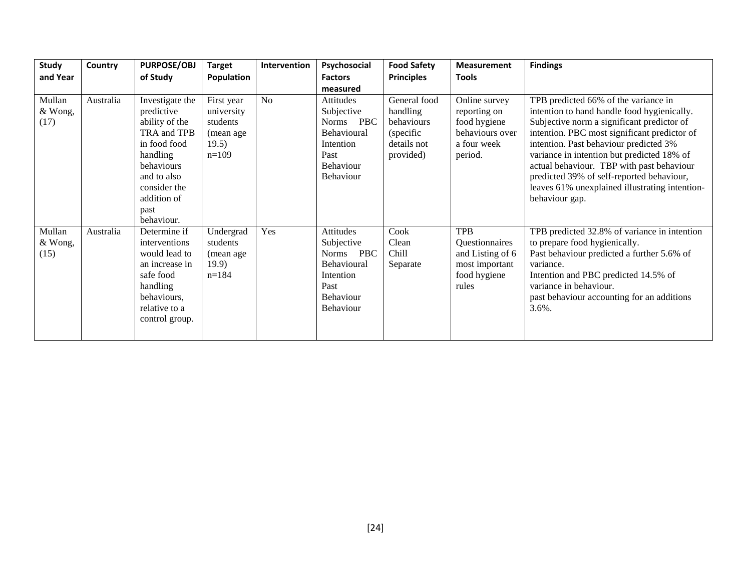| Study<br>and Year         | Country   | <b>PURPOSE/OBJ</b><br>of Study                                                                                                                                               | <b>Target</b><br>Population                                           | Intervention   | Psychosocial<br><b>Factors</b>                                                                                 | <b>Food Safety</b><br><b>Principles</b>                                         | <b>Measurement</b><br><b>Tools</b>                                                          | <b>Findings</b>                                                                                                                                                                                                                                                                                                                                                                                                                         |
|---------------------------|-----------|------------------------------------------------------------------------------------------------------------------------------------------------------------------------------|-----------------------------------------------------------------------|----------------|----------------------------------------------------------------------------------------------------------------|---------------------------------------------------------------------------------|---------------------------------------------------------------------------------------------|-----------------------------------------------------------------------------------------------------------------------------------------------------------------------------------------------------------------------------------------------------------------------------------------------------------------------------------------------------------------------------------------------------------------------------------------|
| Mullan<br>& Wong,<br>(17) | Australia | Investigate the<br>predictive<br>ability of the<br>TRA and TPB<br>in food food<br>handling<br>behaviours<br>and to also<br>consider the<br>addition of<br>past<br>behaviour. | First year<br>university<br>students<br>(mean age<br>19.5)<br>$n=109$ | N <sub>o</sub> | measured<br>Attitudes<br>Subjective<br>Norms PBC<br>Behavioural<br>Intention<br>Past<br>Behaviour<br>Behaviour | General food<br>handling<br>behaviours<br>(specific<br>details not<br>provided) | Online survey<br>reporting on<br>food hygiene<br>behaviours over<br>a four week<br>period.  | TPB predicted 66% of the variance in<br>intention to hand handle food hygienically.<br>Subjective norm a significant predictor of<br>intention. PBC most significant predictor of<br>intention. Past behaviour predicted 3%<br>variance in intention but predicted 18% of<br>actual behaviour. TBP with past behaviour<br>predicted 39% of self-reported behaviour,<br>leaves 61% unexplained illustrating intention-<br>behaviour gap. |
| Mullan<br>& Wong,<br>(15) | Australia | Determine if<br>interventions<br>would lead to<br>an increase in<br>safe food<br>handling<br>behaviours,<br>relative to a<br>control group.                                  | Undergrad<br>students<br>(mean age<br>19.9)<br>$n=184$                | Yes            | Attitudes<br>Subjective<br>Norms PBC<br>Behavioural<br>Intention<br>Past<br><b>Behaviour</b><br>Behaviour      | Cook<br>Clean<br>Chill<br>Separate                                              | <b>TPB</b><br>Questionnaires<br>and Listing of 6<br>most important<br>food hygiene<br>rules | TPB predicted 32.8% of variance in intention<br>to prepare food hygienically.<br>Past behaviour predicted a further 5.6% of<br>variance.<br>Intention and PBC predicted 14.5% of<br>variance in behaviour.<br>past behaviour accounting for an additions<br>$3.6\%$ .                                                                                                                                                                   |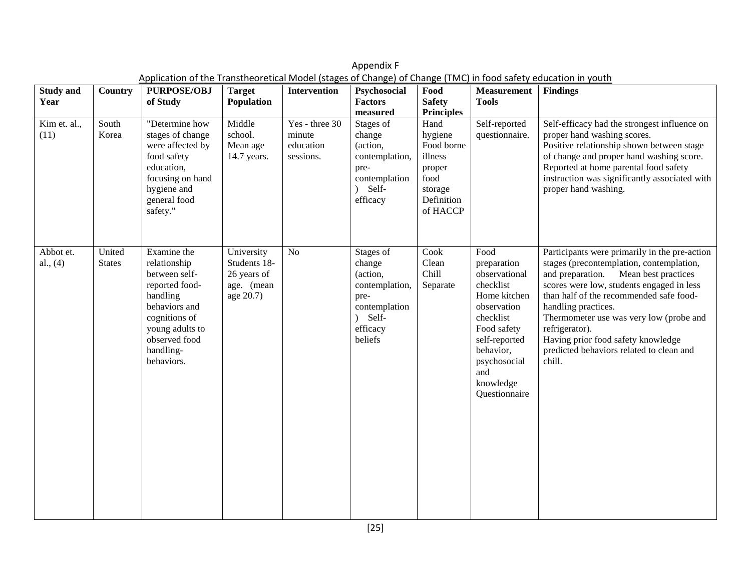| <b>Study and</b><br>Year<br>Kim et. al.,<br>(11) | <b>Country</b><br>South<br>Korea | <b>PURPOSE/OBJ</b><br>of Study<br>"Determine how<br>stages of change<br>were affected by<br>food safety                                                                     | <b>Target</b><br>Population<br>Middle<br>school.<br>Mean age<br>14.7 years. | <b>Intervention</b><br>Yes - three 30<br>minute<br>education<br>sessions. | Psychosocial<br><b>Factors</b><br>measured<br>Stages of<br>change<br>(action,<br>contemplation,                             | Food<br><b>Safety</b><br><b>Principles</b><br>Hand<br>hygiene<br>Food borne<br>illness | <b>Measurement</b><br><b>Tools</b><br>Self-reported<br>questionnaire.                                                                                                                           | <b>Findings</b><br>Self-efficacy had the strongest influence on<br>proper hand washing scores.<br>Positive relationship shown between stage<br>of change and proper hand washing score.                                                                                                                                                                                                                   |
|--------------------------------------------------|----------------------------------|-----------------------------------------------------------------------------------------------------------------------------------------------------------------------------|-----------------------------------------------------------------------------|---------------------------------------------------------------------------|-----------------------------------------------------------------------------------------------------------------------------|----------------------------------------------------------------------------------------|-------------------------------------------------------------------------------------------------------------------------------------------------------------------------------------------------|-----------------------------------------------------------------------------------------------------------------------------------------------------------------------------------------------------------------------------------------------------------------------------------------------------------------------------------------------------------------------------------------------------------|
|                                                  |                                  | education,<br>focusing on hand<br>hygiene and<br>general food<br>safety."                                                                                                   |                                                                             |                                                                           | pre-<br>contemplation<br>Self-<br>$\lambda$<br>efficacy                                                                     | proper<br>food<br>storage<br>Definition<br>of HACCP                                    |                                                                                                                                                                                                 | Reported at home parental food safety<br>instruction was significantly associated with<br>proper hand washing.                                                                                                                                                                                                                                                                                            |
| Abbot et.<br>al., $(4)$                          | United<br><b>States</b>          | Examine the<br>relationship<br>between self-<br>reported food-<br>handling<br>behaviors and<br>cognitions of<br>young adults to<br>observed food<br>handling-<br>behaviors. | University<br>Students 18-<br>26 years of<br>age. (mean<br>age 20.7)        | N <sub>o</sub>                                                            | Stages of<br>change<br>(action,<br>contemplation,<br>pre-<br>contemplation<br>Self-<br>$\mathcal{L}$<br>efficacy<br>beliefs | Cook<br>Clean<br>Chill<br>Separate                                                     | Food<br>preparation<br>observational<br>checklist<br>Home kitchen<br>observation<br>checklist<br>Food safety<br>self-reported<br>behavior,<br>psychosocial<br>and<br>knowledge<br>Questionnaire | Participants were primarily in the pre-action<br>stages (precontemplation, contemplation,<br>and preparation. Mean best practices<br>scores were low, students engaged in less<br>than half of the recommended safe food-<br>handling practices.<br>Thermometer use was very low (probe and<br>refrigerator).<br>Having prior food safety knowledge<br>predicted behaviors related to clean and<br>chill. |

Appendix F Application of the Transtheoretical Model (stages of Change) of Change (TMC) in food safety education in youth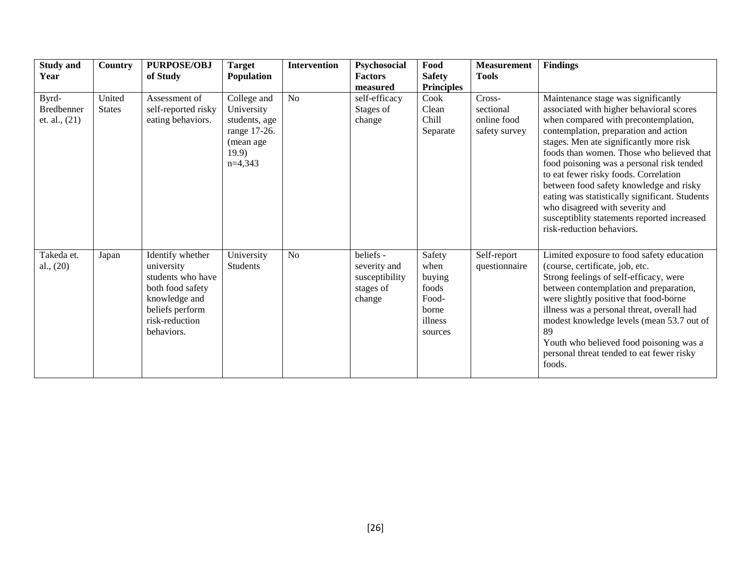| <b>Study and</b><br>Year                      | <b>Country</b>          | <b>PURPOSE/OBJ</b><br>of Study                                                                                                              | <b>Target</b><br><b>Population</b>                                                           | <b>Intervention</b> | Psychosocial<br><b>Factors</b><br>measured                         | Food<br><b>Safety</b><br><b>Principles</b>                                | <b>Measurement</b><br><b>Tools</b>                  | <b>Findings</b>                                                                                                                                                                                                                                                                                                                                                                                                                                                                                                                                            |
|-----------------------------------------------|-------------------------|---------------------------------------------------------------------------------------------------------------------------------------------|----------------------------------------------------------------------------------------------|---------------------|--------------------------------------------------------------------|---------------------------------------------------------------------------|-----------------------------------------------------|------------------------------------------------------------------------------------------------------------------------------------------------------------------------------------------------------------------------------------------------------------------------------------------------------------------------------------------------------------------------------------------------------------------------------------------------------------------------------------------------------------------------------------------------------------|
| Byrd-<br><b>Bredbenner</b><br>et. al., $(21)$ | United<br><b>States</b> | Assessment of<br>self-reported risky<br>eating behaviors.                                                                                   | College and<br>University<br>students, age<br>range 17-26.<br>(mean age<br>19.9<br>$n=4,343$ | N <sub>o</sub>      | self-efficacy<br>Stages of<br>change                               | Cook<br>Clean<br>Chill<br>Separate                                        | Cross-<br>sectional<br>online food<br>safety survey | Maintenance stage was significantly<br>associated with higher behavioral scores<br>when compared with precontemplation,<br>contemplation, preparation and action<br>stages. Men ate significantly more risk<br>foods than women. Those who believed that<br>food poisoning was a personal risk tended<br>to eat fewer risky foods. Correlation<br>between food safety knowledge and risky<br>eating was statistically significant. Students<br>who disagreed with severity and<br>susceptiblity statements reported increased<br>risk-reduction behaviors. |
| Takeda et.<br>al., $(20)$                     | Japan                   | Identify whether<br>university<br>students who have<br>both food safety<br>knowledge and<br>beliefs perform<br>risk-reduction<br>behaviors. | University<br>Students                                                                       | N <sub>o</sub>      | beliefs -<br>severity and<br>susceptibility<br>stages of<br>change | Safety<br>when<br>buying<br>foods<br>Food-<br>borne<br>illness<br>sources | Self-report<br>questionnaire                        | Limited exposure to food safety education<br>(course, certificate, job, etc.<br>Strong feelings of self-efficacy, were<br>between contemplation and preparation,<br>were slightly positive that food-borne<br>illness was a personal threat, overall had<br>modest knowledge levels (mean 53.7 out of<br>89<br>Youth who believed food poisoning was a<br>personal threat tended to eat fewer risky<br>foods.                                                                                                                                              |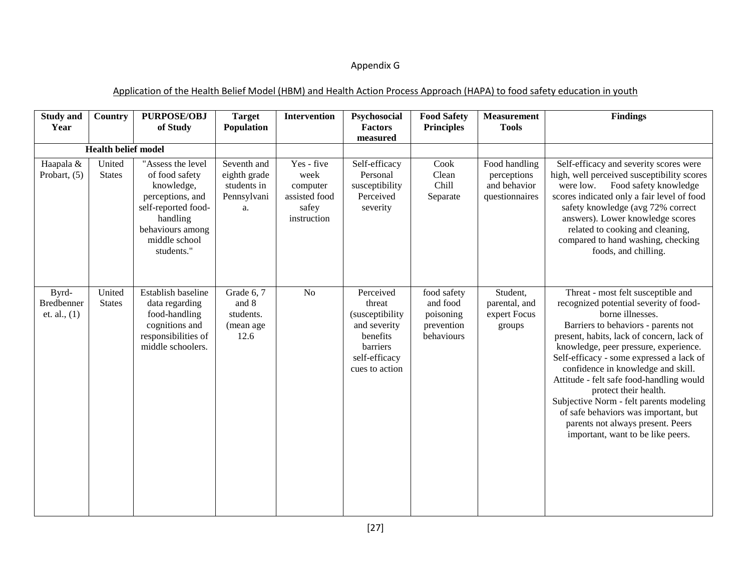# Appendix G

## Application of the Health Belief Model (HBM) and Health Action Process Approach (HAPA) to food safety education in youth

| <b>Study and</b><br>Year                     | <b>Country</b>          | <b>PURPOSE/OBJ</b><br>of Study                                                                                                                              | <b>Target</b><br>Population                                     | <b>Intervention</b>                                                     | Psychosocial<br><b>Factors</b>                                                                                     | <b>Food Safety</b><br><b>Principles</b>                          | <b>Measurement</b><br><b>Tools</b>                             | <b>Findings</b>                                                                                                                                                                                                                                                                                                                                                                                                                                                                                                                                   |
|----------------------------------------------|-------------------------|-------------------------------------------------------------------------------------------------------------------------------------------------------------|-----------------------------------------------------------------|-------------------------------------------------------------------------|--------------------------------------------------------------------------------------------------------------------|------------------------------------------------------------------|----------------------------------------------------------------|---------------------------------------------------------------------------------------------------------------------------------------------------------------------------------------------------------------------------------------------------------------------------------------------------------------------------------------------------------------------------------------------------------------------------------------------------------------------------------------------------------------------------------------------------|
| <b>Health belief model</b>                   |                         |                                                                                                                                                             |                                                                 | measured                                                                |                                                                                                                    |                                                                  |                                                                |                                                                                                                                                                                                                                                                                                                                                                                                                                                                                                                                                   |
| Haapala &<br>Probart, (5)                    | United<br><b>States</b> | "Assess the level<br>of food safety<br>knowledge,<br>perceptions, and<br>self-reported food-<br>handling<br>behaviours among<br>middle school<br>students." | Seventh and<br>eighth grade<br>students in<br>Pennsylvani<br>a. | Yes - five<br>week<br>computer<br>assisted food<br>safey<br>instruction | Self-efficacy<br>Personal<br>susceptibility<br>Perceived<br>severity                                               | Cook<br>Clean<br>Chill<br>Separate                               | Food handling<br>perceptions<br>and behavior<br>questionnaires | Self-efficacy and severity scores were<br>high, well perceived susceptibility scores<br>Food safety knowledge<br>were low.<br>scores indicated only a fair level of food<br>safety knowledge (avg 72% correct<br>answers). Lower knowledge scores<br>related to cooking and cleaning,<br>compared to hand washing, checking<br>foods, and chilling.                                                                                                                                                                                               |
| Byrd-<br><b>Bredbenner</b><br>et. al., $(1)$ | United<br><b>States</b> | Establish baseline<br>data regarding<br>food-handling<br>cognitions and<br>responsibilities of<br>middle schoolers.                                         | Grade 6, 7<br>and 8<br>students.<br>(mean age<br>12.6           | No                                                                      | Perceived<br>threat<br>(susceptibility)<br>and severity<br>benefits<br>barriers<br>self-efficacy<br>cues to action | food safety<br>and food<br>poisoning<br>prevention<br>behaviours | Student,<br>parental, and<br>expert Focus<br>groups            | Threat - most felt susceptible and<br>recognized potential severity of food-<br>borne illnesses.<br>Barriers to behaviors - parents not<br>present, habits, lack of concern, lack of<br>knowledge, peer pressure, experience.<br>Self-efficacy - some expressed a lack of<br>confidence in knowledge and skill.<br>Attitude - felt safe food-handling would<br>protect their health.<br>Subjective Norm - felt parents modeling<br>of safe behaviors was important, but<br>parents not always present. Peers<br>important, want to be like peers. |